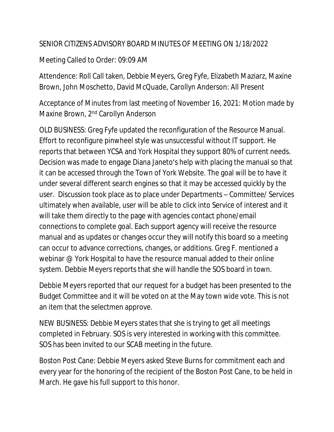## SENIOR CITIZENS ADVISORY BOARD MINUTES OF MEETING ON 1/18/2022

## Meeting Called to Order: 09:09 AM

Attendence: Roll Call taken, Debbie Meyers, Greg Fyfe, Elizabeth Maziarz, Maxine Brown, John Moschetto, David McQuade, Carollyn Anderson: All Present

Acceptance of Minutes from last meeting of November 16, 2021: Motion made by Maxine Brown, 2nd Carollyn Anderson

OLD BUSINESS: Greg Fyfe updated the reconfiguration of the Resource Manual. Effort to reconfigure pinwheel style was unsuccessful without IT support. He reports that between YCSA and York Hospital they support 80% of current needs. Decision was made to engage Diana Janeto's help with placing the manual so that it can be accessed through the Town of York Website. The goal will be to have it under several different search engines so that it may be accessed quickly by the user. Discussion took place as to place under Departments – Committee/ Services ultimately when available, user will be able to click into Service of interest and it will take them directly to the page with agencies contact phone/email connections to complete goal. Each support agency will receive the resource manual and as updates or changes occur they will notify this board so a meeting can occur to advance corrections, changes, or additions. Greg F. mentioned a webinar @ York Hospital to have the resource manual added to their online system. Debbie Meyers reports that she will handle the SOS board in town.

Debbie Meyers reported that our request for a budget has been presented to the Budget Committee and it will be voted on at the May town wide vote. This is not an item that the selectmen approve.

NEW BUSINESS: Debbie Meyers states that she is trying to get all meetings completed in February. SOS is very interested in working with this committee. SOS has been invited to our SCAB meeting in the future.

Boston Post Cane: Debbie Meyers asked Steve Burns for commitment each and every year for the honoring of the recipient of the Boston Post Cane, to be held in March. He gave his full support to this honor.